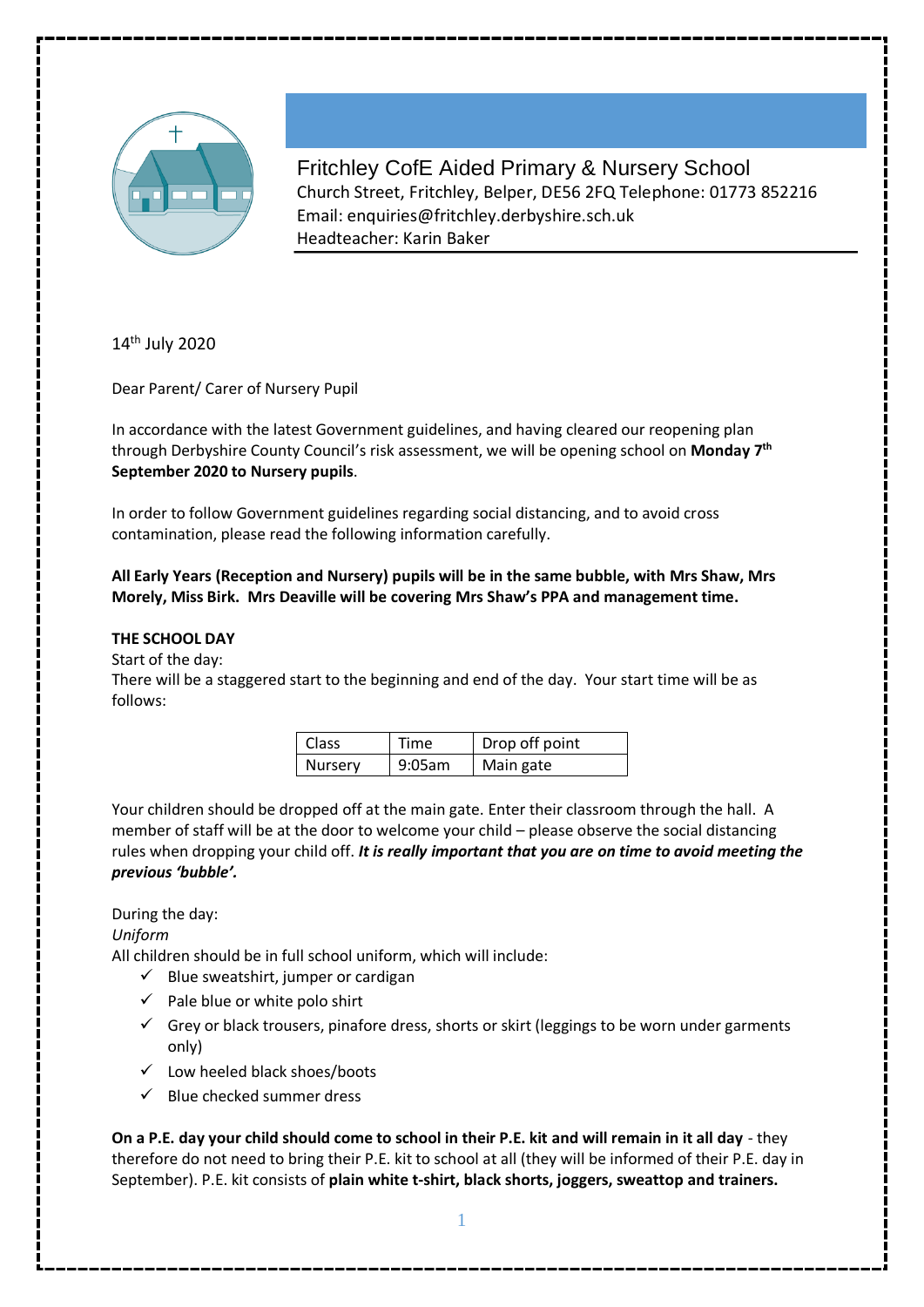

Fritchley CofE Aided Primary & Nursery School Church Street, Fritchley, Belper, DE56 2FQ Telephone: 01773 852216 Email: enquiries@fritchley.derbyshire.sch.uk Headteacher: Karin Baker

14<sup>th</sup> July 2020

Dear Parent/ Carer of Nursery Pupil

In accordance with the latest Government guidelines, and having cleared our reopening plan through Derbyshire County Council's risk assessment, we will be opening school on **Monday 7 th September 2020 to Nursery pupils**.

In order to follow Government guidelines regarding social distancing, and to avoid cross contamination, please read the following information carefully.

**All Early Years (Reception and Nursery) pupils will be in the same bubble, with Mrs Shaw, Mrs Morely, Miss Birk. Mrs Deaville will be covering Mrs Shaw's PPA and management time.** 

# **THE SCHOOL DAY**

Start of the day:

There will be a staggered start to the beginning and end of the day. Your start time will be as follows:

| <b>Class</b>   | Time   | Drop off point |
|----------------|--------|----------------|
| <b>Nurserv</b> | 9:05am | Main gate      |

Your children should be dropped off at the main gate. Enter their classroom through the hall. A member of staff will be at the door to welcome your child – please observe the social distancing rules when dropping your child off. *It is really important that you are on time to avoid meeting the previous 'bubble'.* 

# During the day:

*Uniform* 

All children should be in full school uniform, which will include:

- $\checkmark$  Blue sweatshirt, jumper or cardigan
- $\checkmark$  Pale blue or white polo shirt
- $\checkmark$  Grey or black trousers, pinafore dress, shorts or skirt (leggings to be worn under garments only)
- $\checkmark$  Low heeled black shoes/boots
- $\checkmark$  Blue checked summer dress

**On a P.E. day your child should come to school in their P.E. kit and will remain in it all day** - they therefore do not need to bring their P.E. kit to school at all (they will be informed of their P.E. day in September). P.E. kit consists of **plain white t-shirt, black shorts, joggers, sweattop and trainers.**